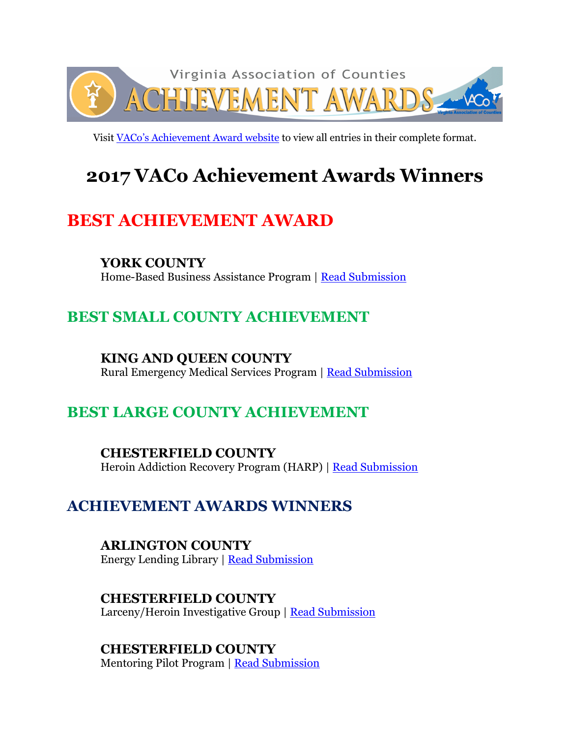

Visit [VACo's Achievement Award website](http://www.vaco.org/county-profiles/achievement-awards/2017-achievement-awards-entries/) to view all entries in their complete format.

# **2017 VACo Achievement Awards Winners**

# **BEST ACHIEVEMENT AWARD**

### **YORK COUNTY**

Home-Based Business Assistance Program | [Read Submission](http://www.vaco.org/wp-content/uploads/2017/06/YorkHomeBasedBusiness.pdf)

# **BEST SMALL COUNTY ACHIEVEMENT**

### **KING AND QUEEN COUNTY**

Rural Emergency Medical Services Program | [Read Submission](http://www.vaco.org/wp-content/uploads/2017/06/KingQueenRuralEmergency.pdf)

# **BEST LARGE COUNTY ACHIEVEMENT**

### **CHESTERFIELD COUNTY**

Heroin Addiction Recovery Program (HARP) | [Read Submission](http://www.vaco.org/wp-content/uploads/2017/06/ChesterfieldHARP.pdf)

## **ACHIEVEMENT AWARDS WINNERS**

**ARLINGTON COUNTY** Energy Lending Library | [Read Submission](http://www.vaco.org/wp-content/uploads/2017/06/ArlingtonEnergyLending.pdf)

### **CHESTERFIELD COUNTY**

Larceny/Heroin Investigative Group | [Read Submission](http://www.vaco.org/wp-content/uploads/2017/06/ChesterfieldInvestigativeGroup.pdf)

### **CHESTERFIELD COUNTY**

Mentoring Pilot Program | [Read Submission](http://www.vaco.org/wp-content/uploads/2017/06/ChesterfieldMentoringPilotProgram.pdf)